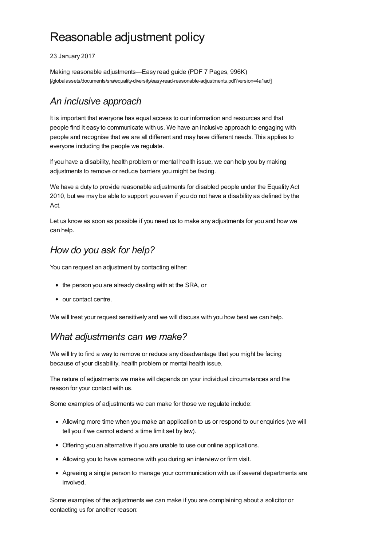# Reasonable adjustment policy

23 January 2017

Making reasonable adjustments—Easy read guide (PDF 7 Pages, 996K) [\[/globalassets/documents/sra/equality-diversity/easy-read-reasonable-adjustments.pdf?version=4a1acf\]](https://www.sra.org.uk/globalassets/documents/sra/equality-diversity/easy-read-reasonable-adjustments.pdf?version=4a1acf)

# *An inclusive approach*

It is important that everyone has equal access to our information and resources and that people find it easy to communicate with us. We have an inclusive approach to engaging with people and recognise that we are all different and may have different needs. This applies to everyone including the people we regulate.

If you have a disability, health problem or mental health issue, we can help you by making adjustments to remove or reduce barriers you might be facing.

We have a duty to provide reasonable adjustments for disabled people under the Equality Act 2010, but we may be able to support you even if you do not have a disability as defined by the Act.

Let us know as soon as possible if you need us to make any adjustments for you and how we can help.

## *How do you ask for help?*

You can request an adjustment by contacting either:

- the person you are already dealing with at the SRA, or
- our contact centre.

We will treat your request sensitively and we will discuss with you how best we can help.

### *What adjustments can we make?*

We will try to find a way to remove or reduce any disadvantage that you might be facing because of your disability, health problem or mental health issue.

The nature of adjustments we make will depends on your individual circumstances and the reason for your contact with us.

Some examples of adjustments we can make for those we regulate include:

- Allowing more time when you make an application to us or respond to our enquiries (we will tell you if we cannot extend a time limit set by law).
- Offering you an alternative if you are unable to use our online applications.
- Allowing you to have someone with you during an interview or firm visit.
- Agreeing a single person to manage your communication with us if several departments are involved.

Some examples of the adjustments we can make if you are complaining about a solicitor or contacting us for another reason: